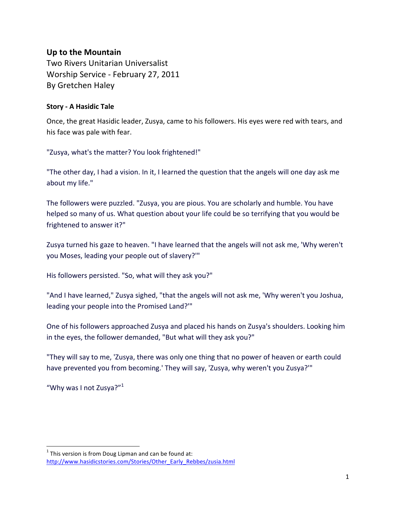# **Up to the Mountain**

Two Rivers Unitarian Universalist Worship Service - February 27, 2011 By Gretchen Haley

## **Story - A Hasidic Tale**

Once, the great Hasidic leader, Zusya, came to his followers. His eyes were red with tears, and his face was pale with fear.

"Zusya, what's the matter? You look frightened!"

"The other day, I had a vision. In it, I learned the question that the angels will one day ask me about my life."

The followers were puzzled. "Zusya, you are pious. You are scholarly and humble. You have helped so many of us. What question about your life could be so terrifying that you would be frightened to answer it?"

Zusya turned his gaze to heaven. "I have learned that the angels will not ask me, 'Why weren't you Moses, leading your people out of slavery?""

His followers persisted. "So, what will they ask you?"

"And I have learned," Zusya sighed, "that the angels will not ask me, 'Why weren't you Joshua, leading your people into the Promised Land?"

One of his followers approached Zusya and placed his hands on Zusya's shoulders. Looking him in the eyes, the follower demanded, "But what will they ask you?"

"They will say to me, 'Zusya, there was only one thing that no power of heaven or earth could have prevented you from becoming.' They will say, 'Zusya, why weren't you Zusya?""

"Why was I not Zusya?"<sup>1</sup>

 $1$  This version is from Doug Lipman and can be found at: http://www.hasidicstories.com/Stories/Other Early Rebbes/zusia.html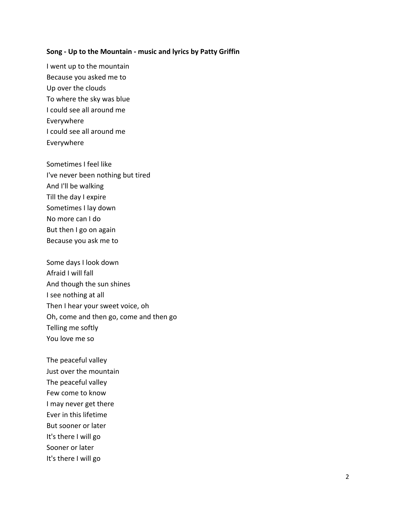## Song - Up to the Mountain - music and lyrics by Patty Griffin

I went up to the mountain Because you asked me to Up over the clouds To where the sky was blue I could see all around me Everywhere I could see all around me Everywhere

Sometimes I feel like I've never been nothing but tired And I'll be walking Till the day I expire Sometimes I lay down No more can I do But then I go on again Because you ask me to

Some days I look down Afraid I will fall And though the sun shines I see nothing at all Then I hear your sweet voice, oh Oh, come and then go, come and then go Telling me softly You love me so

The peaceful valley Just over the mountain The peaceful valley Few come to know I may never get there Ever in this lifetime But sooner or later It's there I will go Sooner or later It's there I will go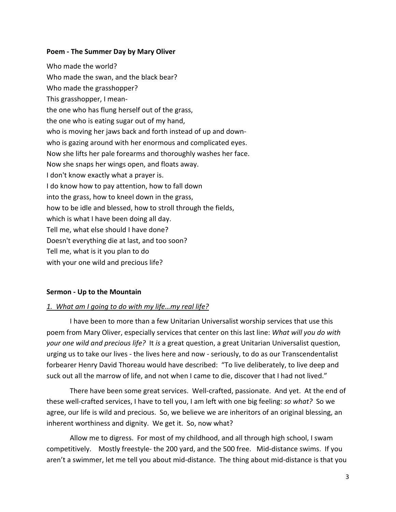## **Poem - The Summer Day by Mary Oliver**

Who made the world? Who made the swan, and the black bear? Who made the grasshopper? This grasshopper, I meanthe one who has flung herself out of the grass, the one who is eating sugar out of my hand, who is moving her jaws back and forth instead of up and downwho is gazing around with her enormous and complicated eyes. Now she lifts her pale forearms and thoroughly washes her face. Now she snaps her wings open, and floats away. I don't know exactly what a prayer is. I do know how to pay attention, how to fall down into the grass, how to kneel down in the grass, how to be idle and blessed, how to stroll through the fields, which is what I have been doing all day. Tell me, what else should I have done? Doesn't everything die at last, and too soon? Tell me, what is it you plan to do with your one wild and precious life?

## **Sermon - Up to the Mountain**

#### 1. What am I going to do with my life...my real life?

I have been to more than a few Unitarian Universalist worship services that use this poem from Mary Oliver, especially services that center on this last line: *What will you do with your one wild and precious life?* It *is* a great question, a great Unitarian Universalist question, urging us to take our lives - the lives here and now - seriously, to do as our Transcendentalist forbearer Henry David Thoreau would have described: "To live deliberately, to live deep and suck out all the marrow of life, and not when I came to die, discover that I had not lived."

There have been some great services. Well-crafted, passionate. And yet. At the end of these well-crafted services, I have to tell you, I am left with one big feeling: so what? So we agree, our life is wild and precious. So, we believe we are inheritors of an original blessing, an inherent worthiness and dignity. We get it. So, now what?

Allow me to digress. For most of my childhood, and all through high school, I swam competitively. Mostly freestyle- the 200 yard, and the 500 free. Mid-distance swims. If you aren't a swimmer, let me tell you about mid-distance. The thing about mid-distance is that you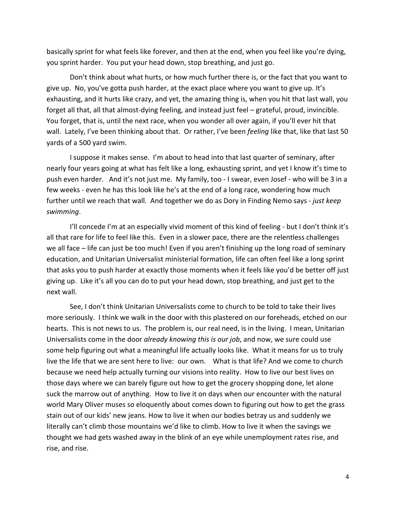basically sprint for what feels like forever, and then at the end, when you feel like you're dying, you sprint harder. You put your head down, stop breathing, and just go.

Don't think about what hurts, or how much further there is, or the fact that you want to give up. No, you've gotta push harder, at the exact place where you want to give up. It's exhausting, and it hurts like crazy, and yet, the amazing thing is, when you hit that last wall, you forget all that, all that almost-dying feeling, and instead just feel – grateful, proud, invincible. You forget, that is, until the next race, when you wonder all over again, if you'll ever hit that wall. Lately, I've been thinking about that. Or rather, I've been *feeling* like that, like that last 50 yards of a 500 yard swim.

I suppose it makes sense. I'm about to head into that last quarter of seminary, after nearly four years going at what has felt like a long, exhausting sprint, and yet I know it's time to push even harder. And it's not just me. My family, too - I swear, even Josef - who will be 3 in a few weeks - even he has this look like he's at the end of a long race, wondering how much further until we reach that wall. And together we do as Dory in Finding Nemo says - just keep *swimming*.!!!

I'll concede I'm at an especially vivid moment of this kind of feeling - but I don't think it's all that rare for life to feel like this. Even in a slower pace, there are the relentless challenges we all face – life can just be too much! Even if you aren't finishing up the long road of seminary education, and Unitarian Universalist ministerial formation, life can often feel like a long sprint that asks you to push harder at exactly those moments when it feels like you'd be better off just giving up. Like it's all you can do to put your head down, stop breathing, and just get to the next wall.

See, I don't think Unitarian Universalists come to church to be told to take their lives more seriously. I think we walk in the door with this plastered on our foreheads, etched on our hearts. This is not news to us. The problem is, our real need, is in the living. I mean, Unitarian Universalists come in the door *already knowing this is our job*, and now, we sure could use some help figuring out what a meaningful life actually looks like. What it means for us to truly live the life that we are sent here to live: our own. What is that life? And we come to church because we need help actually turning our visions into reality. How to live our best lives on those days where we can barely figure out how to get the grocery shopping done, let alone suck the marrow out of anything. How to live it on days when our encounter with the natural world Mary Oliver muses so eloquently about comes down to figuring out how to get the grass stain out of our kids' new jeans. How to live it when our bodies betray us and suddenly we literally can't climb those mountains we'd like to climb. How to live it when the savings we thought we had gets washed away in the blink of an eye while unemployment rates rise, and rise, and rise.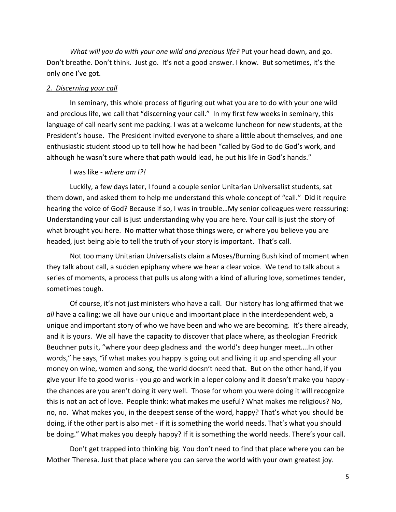What will you do with your one wild and precious life? Put your head down, and go. Don't breathe. Don't think. Just go. It's not a good answer. I know. But sometimes, it's the only one I've got.

## 2. Discerning your call

In seminary, this whole process of figuring out what you are to do with your one wild and precious life, we call that "discerning your call." In my first few weeks in seminary, this language of call nearly sent me packing. I was at a welcome luncheon for new students, at the President's house. The President invited everyone to share a little about themselves, and one enthusiastic student stood up to tell how he had been "called by God to do God's work, and although he wasn't sure where that path would lead, he put his life in God's hands."

### I was like - where am I?!

Luckily, a few days later, I found a couple senior Unitarian Universalist students, sat them down, and asked them to help me understand this whole concept of "call." Did it require hearing the voice of God? Because if so, I was in trouble...My senior colleagues were reassuring: Understanding your call is just understanding why you are here. Your call is just the story of what brought you here. No matter what those things were, or where you believe you are headed, just being able to tell the truth of your story is important. That's call.

Not too many Unitarian Universalists claim a Moses/Burning Bush kind of moment when they talk about call, a sudden epiphany where we hear a clear voice. We tend to talk about a series of moments, a process that pulls us along with a kind of alluring love, sometimes tender, sometimes tough.

Of course, it's not just ministers who have a call. Our history has long affirmed that we all have a calling; we all have our unique and important place in the interdependent web, a unique and important story of who we have been and who we are becoming. It's there already, and it is yours. We all have the capacity to discover that place where, as theologian Fredrick Beuchner puts it, "where your deep gladness and the world's deep hunger meet....In other words," he says, "if what makes you happy is going out and living it up and spending all your money on wine, women and song, the world doesn't need that. But on the other hand, if you give your life to good works - you go and work in a leper colony and it doesn't make you happy the chances are you aren't doing it very well. Those for whom you were doing it will recognize this is not an act of love. People think: what makes me useful? What makes me religious? No, no, no. What makes you, in the deepest sense of the word, happy? That's what you should be doing, if the other part is also met - if it is something the world needs. That's what you should be doing." What makes you deeply happy? If it is something the world needs. There's your call.

Don't get trapped into thinking big. You don't need to find that place where you can be Mother Theresa. Just that place where you can serve the world with your own greatest joy.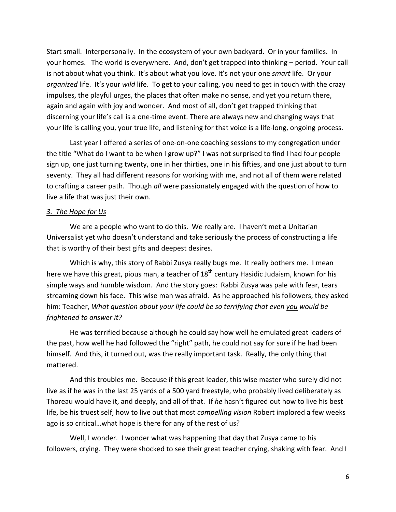Start small. Interpersonally. In the ecosystem of your own backyard. Or in your families. In your homes. The world is everywhere. And, don't get trapped into thinking – period. Your call is not about what you think. It's about what you love. It's not your one *smart* life. Or your *organized* life. It's your *wild* life. To get to your calling, you need to get in touch with the crazy impulses, the playful urges, the places that often make no sense, and yet you return there, again and again with joy and wonder. And most of all, don't get trapped thinking that discerning your life's call is a one-time event. There are always new and changing ways that your life is calling you, your true life, and listening for that voice is a life-long, ongoing process.

Last year I offered a series of one-on-one coaching sessions to my congregation under the title "What do I want to be when I grow up?" I was not surprised to find I had four people sign up, one just turning twenty, one in her thirties, one in his fifties, and one just about to turn seventy. They all had different reasons for working with me, and not all of them were related to crafting a career path. Though all were passionately engaged with the question of how to live a life that was just their own.

## *3. The Hope for Us*

We are a people who want to do this. We really are. I haven't met a Unitarian Universalist yet who doesn't understand and take seriously the process of constructing a life that is worthy of their best gifts and deepest desires.

Which is why, this story of Rabbi Zusya really bugs me. It really bothers me. I mean here we have this great, pious man, a teacher of  $18<sup>th</sup>$  century Hasidic Judaism, known for his simple ways and humble wisdom. And the story goes: Rabbi Zusya was pale with fear, tears streaming down his face. This wise man was afraid. As he approached his followers, they asked him: Teacher, *What question about your life could be so terrifying that even you would be frightened to answer it?* 

He was terrified because although he could say how well he emulated great leaders of the past, how well he had followed the "right" path, he could not say for sure if he had been himself. And this, it turned out, was the really important task. Really, the only thing that mattered.

And this troubles me. Because if this great leader, this wise master who surely did not live as if he was in the last 25 yards of a 500 yard freestyle, who probably lived deliberately as Thoreau would have it, and deeply, and all of that. If *he* hasn't figured out how to live his best life, be his truest self, how to live out that most *compelling vision* Robert implored a few weeks ago is so critical...what hope is there for any of the rest of us?

Well, I wonder. I wonder what was happening that day that Zusya came to his followers, crying. They were shocked to see their great teacher crying, shaking with fear. And I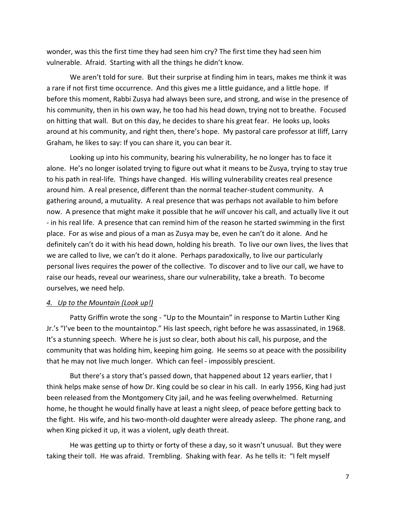wonder, was this the first time they had seen him cry? The first time they had seen him vulnerable. Afraid. Starting with all the things he didn't know.

We aren't told for sure. But their surprise at finding him in tears, makes me think it was a rare if not first time occurrence. And this gives me a little guidance, and a little hope. If before this moment, Rabbi Zusya had always been sure, and strong, and wise in the presence of his community, then in his own way, he too had his head down, trying not to breathe. Focused on hitting that wall. But on this day, he decides to share his great fear. He looks up, looks around at his community, and right then, there's hope. My pastoral care professor at Iliff, Larry Graham, he likes to say: If you can share it, you can bear it.

Looking up into his community, bearing his vulnerability, he no longer has to face it alone. He's no longer isolated trying to figure out what it means to be Zusya, trying to stay true to his path in real-life. Things have changed. His willing vulnerability creates real presence around him. A real presence, different than the normal teacher-student community. A gathering around, a mutuality. A real presence that was perhaps not available to him before now. A presence that might make it possible that he will uncover his call, and actually live it out - in his real life. A presence that can remind him of the reason he started swimming in the first place. For as wise and pious of a man as Zusya may be, even he can't do it alone. And he definitely can't do it with his head down, holding his breath. To live our own lives, the lives that we are called to live, we can't do it alone. Perhaps paradoxically, to live our particularly personal lives requires the power of the collective. To discover and to live our call, we have to raise our heads, reveal our weariness, share our vulnerability, take a breath. To become ourselves, we need help.

## 4. Up to the Mountain (Look up!)

Patty Griffin wrote the song - "Up to the Mountain" in response to Martin Luther King Jr.'s "I've been to the mountaintop." His last speech, right before he was assassinated, in 1968. It's a stunning speech. Where he is just so clear, both about his call, his purpose, and the community that was holding him, keeping him going. He seems so at peace with the possibility that he may not live much longer. Which can feel - impossibly prescient.

But there's a story that's passed down, that happened about 12 years earlier, that I think helps make sense of how Dr. King could be so clear in his call. In early 1956, King had just been released from the Montgomery City jail, and he was feeling overwhelmed. Returning home, he thought he would finally have at least a night sleep, of peace before getting back to the fight. His wife, and his two-month-old daughter were already asleep. The phone rang, and when King picked it up, it was a violent, ugly death threat.

He was getting up to thirty or forty of these a day, so it wasn't unusual. But they were taking their toll. He was afraid. Trembling. Shaking with fear. As he tells it: "I felt myself